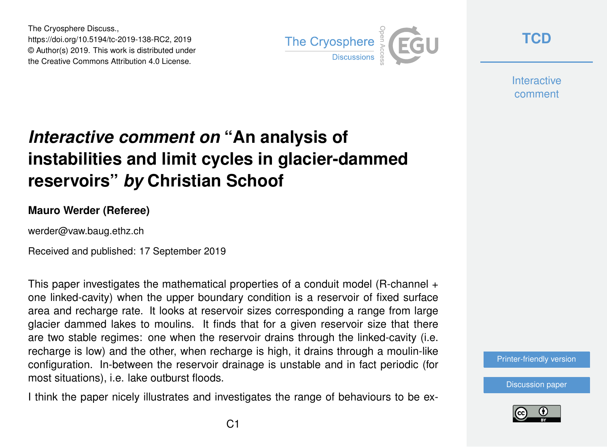The Cryosphere Discuss., https://doi.org/10.5194/tc-2019-138-RC2, 2019 © Author(s) 2019. This work is distributed under the Creative Commons Attribution 4.0 License.



**[TCD](https://www.the-cryosphere-discuss.net/)**

**Interactive** comment

## *Interactive comment on* **"An analysis of instabilities and limit cycles in glacier-dammed reservoirs"** *by* **Christian Schoof**

## **Mauro Werder (Referee)**

werder@vaw.baug.ethz.ch

Received and published: 17 September 2019

This paper investigates the mathematical properties of a conduit model (R-channel + one linked-cavity) when the upper boundary condition is a reservoir of fixed surface area and recharge rate. It looks at reservoir sizes corresponding a range from large glacier dammed lakes to moulins. It finds that for a given reservoir size that there are two stable regimes: one when the reservoir drains through the linked-cavity (i.e. recharge is low) and the other, when recharge is high, it drains through a moulin-like configuration. In-between the reservoir drainage is unstable and in fact periodic (for most situations), i.e. lake outburst floods.

I think the paper nicely illustrates and investigates the range of behaviours to be ex-



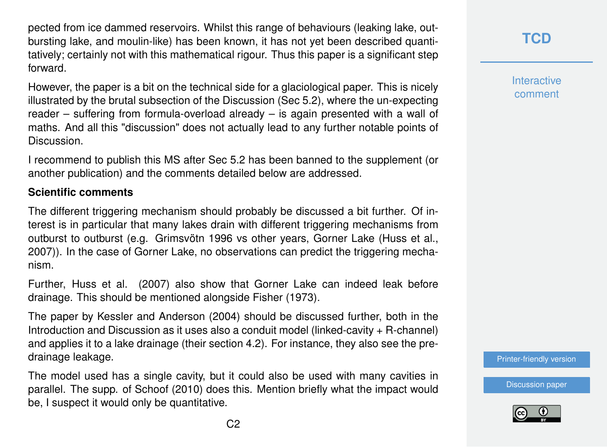pected from ice dammed reservoirs. Whilst this range of behaviours (leaking lake, outbursting lake, and moulin-like) has been known, it has not yet been described quantitatively; certainly not with this mathematical rigour. Thus this paper is a significant step forward.

However, the paper is a bit on the technical side for a glaciological paper. This is nicely illustrated by the brutal subsection of the Discussion (Sec 5.2), where the un-expecting reader – suffering from formula-overload already – is again presented with a wall of maths. And all this "discussion" does not actually lead to any further notable points of Discussion.

I recommend to publish this MS after Sec 5.2 has been banned to the supplement (or another publication) and the comments detailed below are addressed.

## **Scientific comments**

The different triggering mechanism should probably be discussed a bit further. Of interest is in particular that many lakes drain with different triggering mechanisms from outburst to outburst (e.g. Grimsvötn 1996 vs other years, Gorner Lake (Huss et al., 2007)). In the case of Gorner Lake, no observations can predict the triggering mechanism.

Further, Huss et al. (2007) also show that Gorner Lake can indeed leak before drainage. This should be mentioned alongside Fisher (1973).

The paper by Kessler and Anderson (2004) should be discussed further, both in the Introduction and Discussion as it uses also a conduit model (linked-cavity + R-channel) and applies it to a lake drainage (their section 4.2). For instance, they also see the predrainage leakage.

The model used has a single cavity, but it could also be used with many cavities in parallel. The supp. of Schoof (2010) does this. Mention briefly what the impact would be, I suspect it would only be quantitative.

**[TCD](https://www.the-cryosphere-discuss.net/)**

**Interactive** comment

[Printer-friendly version](https://www.the-cryosphere-discuss.net/tc-2019-138/tc-2019-138-RC2-print.pdf)

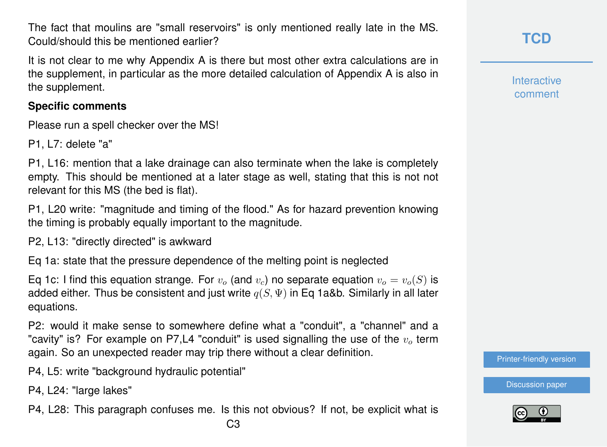The fact that moulins are "small reservoirs" is only mentioned really late in the MS. Could/should this be mentioned earlier?

It is not clear to me why Appendix A is there but most other extra calculations are in the supplement, in particular as the more detailed calculation of Appendix A is also in the supplement.

## **Specific comments**

Please run a spell checker over the MS!

P1, L7: delete "a"

P1, L16: mention that a lake drainage can also terminate when the lake is completely empty. This should be mentioned at a later stage as well, stating that this is not not relevant for this MS (the bed is flat).

P1, L20 write: "magnitude and timing of the flood." As for hazard prevention knowing the timing is probably equally important to the magnitude.

P2, L13: "directly directed" is awkward

Eq 1a: state that the pressure dependence of the melting point is neglected

Eq 1c: I find this equation strange. For  $v<sub>o</sub>$  (and  $v<sub>c</sub>$ ) no separate equation  $v<sub>o</sub> = v<sub>o</sub>(S)$  is added either. Thus be consistent and just write  $q(S, \Psi)$  in Eq 1a&b. Similarly in all later equations.

P2: would it make sense to somewhere define what a "conduit", a "channel" and a "cavity" is? For example on P7,L4 "conduit" is used signalling the use of the  $v_0$  term again. So an unexpected reader may trip there without a clear definition.

P4, L5: write "background hydraulic potential"

P4, L24: "large lakes"

P4, L28: This paragraph confuses me. Is this not obvious? If not, be explicit what is

**Interactive** comment

[Printer-friendly version](https://www.the-cryosphere-discuss.net/tc-2019-138/tc-2019-138-RC2-print.pdf)

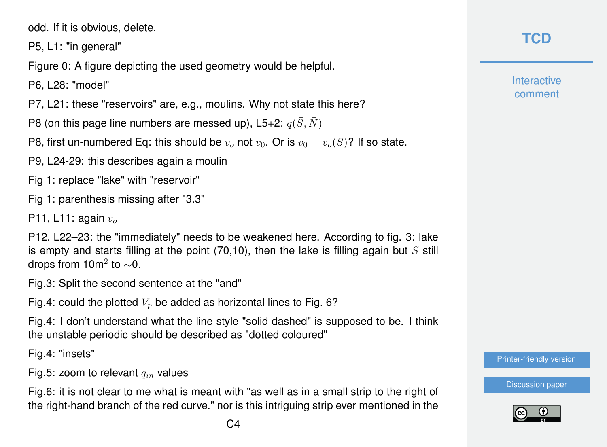odd. If it is obvious, delete.

P5, L1: "in general"

Figure 0: A figure depicting the used geometry would be helpful.

P6, L28: "model"

P7, L21: these "reservoirs" are, e.g., moulins. Why not state this here?

P8 (on this page line numbers are messed up), L5+2:  $q(\bar{S}, \bar{N})$ 

P8, first un-numbered Eq: this should be  $v_0$  not  $v_0$ . Or is  $v_0 = v_0(S)$ ? If so state.

P9, L24-29: this describes again a moulin

Fig 1: replace "lake" with "reservoir"

Fig 1: parenthesis missing after "3.3"

P11, L11: again  $v<sub>o</sub>$ 

P12, L22–23: the "immediately" needs to be weakened here. According to fig. 3: lake is empty and starts filling at the point  $(70,10)$ , then the lake is filling again but S still drops from 10m $^2$  to  ${\sim}0.$ 

Fig.3: Split the second sentence at the "and"

Fig.4: could the plotted  $V_p$  be added as horizontal lines to Fig. 6?

Fig.4: I don't understand what the line style "solid dashed" is supposed to be. I think the unstable periodic should be described as "dotted coloured"

Fig.4: "insets"

Fig.5: zoom to relevant  $q_{in}$  values

Fig.6: it is not clear to me what is meant with "as well as in a small strip to the right of the right-hand branch of the red curve." nor is this intriguing strip ever mentioned in the

**Interactive** comment

[Printer-friendly version](https://www.the-cryosphere-discuss.net/tc-2019-138/tc-2019-138-RC2-print.pdf)